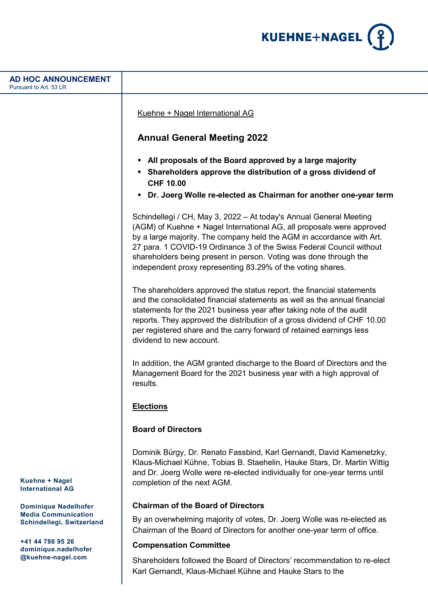

# **Kuehne + Nagel International AG Dominique Nadelhofer Media Communication Schindellegi, Switzerland +41 44 786 95 26 dominique.nadelhofer @kuehne-nagel.com AD HOC ANNOUNCEMENT** Pursuant to Art. 53 LR Kuehne + Nagel International AG **Annual General Meeting 2022 All proposals of the Board approved by a large majority Shareholders approve the distribution of a gross dividend of CHF 10.00 Dr. Joerg Wolle re-elected as Chairman for another one-year term** Schindellegi / CH, May 3, 2022 – At today's Annual General Meeting (AGM) of Kuehne + Nagel International AG, all proposals were approved by a large majority. The company held the AGM in accordance with Art. 27 para. 1 COVID-19 Ordinance 3 of the Swiss Federal Council without shareholders being present in person. Voting was done through the independent proxy representing 83.29% of the voting shares. The shareholders approved the status report, the financial statements and the consolidated financial statements as well as the annual financial statements for the 2021 business year after taking note of the audit reports. They approved the distribution of a gross dividend of CHF 10.00 per registered share and the carry forward of retained earnings less dividend to new account. In addition, the AGM granted discharge to the Board of Directors and the Management Board for the 2021 business year with a high approval of results. **Elections Board of Directors** Dominik Bürgy, Dr. Renato Fassbind, Karl Gernandt, David Kamenetzky, Klaus-Michael Kühne, Tobias B. Staehelin, Hauke Stars, Dr. Martin Wittig and Dr. Joerg Wolle were re-elected individually for one-year terms until completion of the next AGM. **Chairman of the Board of Directors** By an overwhelming majority of votes, Dr. Joerg Wolle was re-elected as Chairman of the Board of Directors for another one-year term of office. **Compensation Committee** Shareholders followed the Board of Directors' recommendation to re-elect

Karl Gernandt, Klaus-Michael Kühne and Hauke Stars to the